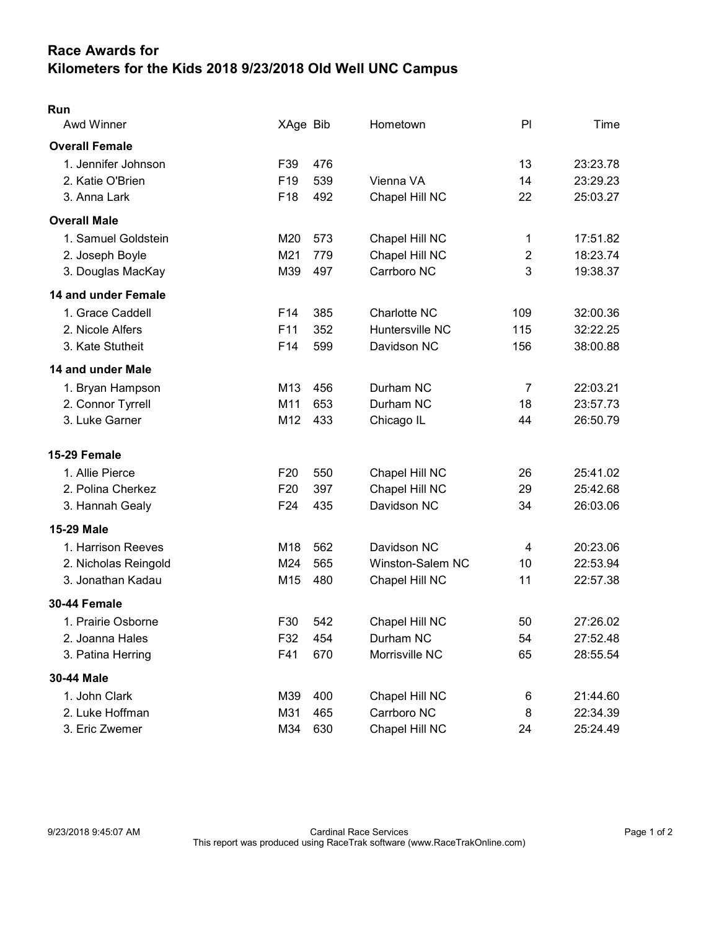## Race Awards for Kilometers for the Kids 2018 9/23/2018 Old Well UNC Campus

| Run                   |                 |     |                     |                |          |
|-----------------------|-----------------|-----|---------------------|----------------|----------|
| Awd Winner            | XAge Bib        |     | Hometown            | PI             | Time     |
| <b>Overall Female</b> |                 |     |                     |                |          |
| 1. Jennifer Johnson   | F39             | 476 |                     | 13             | 23:23.78 |
| 2. Katie O'Brien      | F <sub>19</sub> | 539 | Vienna VA           | 14             | 23:29.23 |
| 3. Anna Lark          | F18             | 492 | Chapel Hill NC      | 22             | 25:03.27 |
| <b>Overall Male</b>   |                 |     |                     |                |          |
| 1. Samuel Goldstein   | M20             | 573 | Chapel Hill NC      | 1              | 17:51.82 |
| 2. Joseph Boyle       | M21             | 779 | Chapel Hill NC      | $\overline{2}$ | 18:23.74 |
| 3. Douglas MacKay     | M39             | 497 | Carrboro NC         | 3              | 19:38.37 |
| 14 and under Female   |                 |     |                     |                |          |
| 1. Grace Caddell      | F <sub>14</sub> | 385 | <b>Charlotte NC</b> | 109            | 32:00.36 |
| 2. Nicole Alfers      | F <sub>11</sub> | 352 | Huntersville NC     | 115            | 32:22.25 |
| 3. Kate Stutheit      | F14             | 599 | Davidson NC         | 156            | 38:00.88 |
| 14 and under Male     |                 |     |                     |                |          |
| 1. Bryan Hampson      | M13             | 456 | Durham NC           | $\overline{7}$ | 22:03.21 |
| 2. Connor Tyrrell     | M11             | 653 | Durham NC           | 18             | 23:57.73 |
| 3. Luke Garner        | M12             | 433 | Chicago IL          | 44             | 26:50.79 |
| 15-29 Female          |                 |     |                     |                |          |
| 1. Allie Pierce       | F <sub>20</sub> | 550 | Chapel Hill NC      | 26             | 25:41.02 |
| 2. Polina Cherkez     | F <sub>20</sub> | 397 | Chapel Hill NC      | 29             | 25:42.68 |
| 3. Hannah Gealy       | F <sub>24</sub> | 435 | Davidson NC         | 34             | 26:03.06 |
| <b>15-29 Male</b>     |                 |     |                     |                |          |
| 1. Harrison Reeves    | M <sub>18</sub> | 562 | Davidson NC         | 4              | 20:23.06 |
| 2. Nicholas Reingold  | M24             | 565 | Winston-Salem NC    | 10             | 22:53.94 |
| 3. Jonathan Kadau     | M15             | 480 | Chapel Hill NC      | 11             | 22:57.38 |
| 30-44 Female          |                 |     |                     |                |          |
| 1. Prairie Osborne    | F30             | 542 | Chapel Hill NC      | 50             | 27:26.02 |
| 2. Joanna Hales       | F32             | 454 | Durham NC           | 54             | 27:52.48 |
| 3. Patina Herring     | F41             | 670 | Morrisville NC      | 65             | 28:55.54 |
| 30-44 Male            |                 |     |                     |                |          |
| 1. John Clark         | M39             | 400 | Chapel Hill NC      | 6              | 21:44.60 |
| 2. Luke Hoffman       | M31             | 465 | Carrboro NC         | 8              | 22:34.39 |
| 3. Eric Zwemer        | M34             | 630 | Chapel Hill NC      | 24             | 25:24.49 |